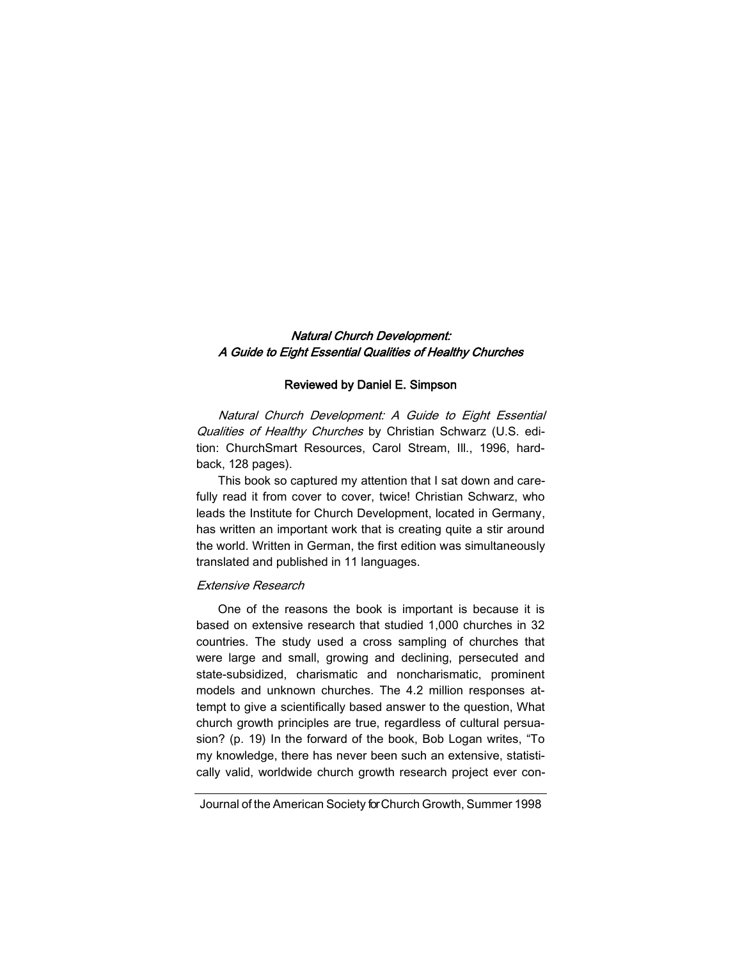# Natural Church Development: A Guide to Eight Essential Qualities of Healthy Churches

### Reviewed by Daniel E. Simpson

Natural Church Development: A Guide to Eight Essential Qualities of Healthy Churches by Christian Schwarz (U.S. edition: ChurchSmart Resources, Carol Stream, Ill., 1996, hardback, 128 pages).

This book so captured my attention that I sat down and carefully read it from cover to cover, twice! Christian Schwarz, who leads the Institute for Church Development, located in Germany, has written an important work that is creating quite a stir around the world. Written in German, the first edition was simultaneously translated and published in 11 languages.

## Extensive Research

One of the reasons the book is important is because it is based on extensive research that studied 1,000 churches in 32 countries. The study used a cross sampling of churches that were large and small, growing and declining, persecuted and state-subsidized, charismatic and noncharismatic, prominent models and unknown churches. The 4.2 million responses attempt to give a scientifically based answer to the question, What church growth principles are true, regardless of cultural persuasion? (p. 19) In the forward of the book, Bob Logan writes, "To my knowledge, there has never been such an extensive, statistically valid, worldwide church growth research project ever con-

Journal of the American Society for Church Growth, Summer 1998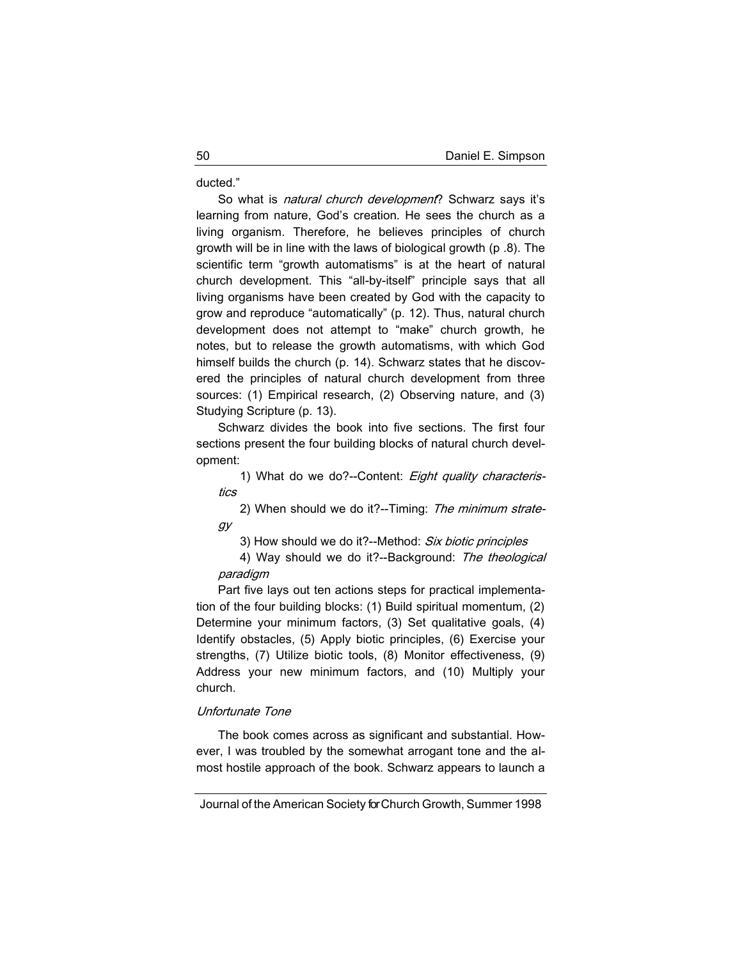ducted."

So what is natural church development? Schwarz says it's learning from nature, God's creation. He sees the church as a living organism. Therefore, he believes principles of church growth will be in line with the laws of biological growth (p .8). The scientific term "growth automatisms" is at the heart of natural church development. This "all-by-itself" principle says that all living organisms have been created by God with the capacity to grow and reproduce "automatically" (p. 12). Thus, natural church development does not attempt to "make" church growth, he notes, but to release the growth automatisms, with which God himself builds the church (p. 14). Schwarz states that he discovered the principles of natural church development from three sources: (1) Empirical research, (2) Observing nature, and (3) Studying Scripture (p. 13).

Schwarz divides the book into five sections. The first four sections present the four building blocks of natural church development:

1) What do we do?--Content: Eight quality characteristics

2) When should we do it?--Timing: The minimum strategy

3) How should we do it?--Method: Six biotic principles

4) Way should we do it?--Background: The theological paradigm

Part five lays out ten actions steps for practical implementation of the four building blocks: (1) Build spiritual momentum, (2) Determine your minimum factors, (3) Set qualitative goals, (4) Identify obstacles, (5) Apply biotic principles, (6) Exercise your strengths, (7) Utilize biotic tools, (8) Monitor effectiveness, (9) Address your new minimum factors, and (10) Multiply your church.

## Unfortunate Tone

The book comes across as significant and substantial. However, I was troubled by the somewhat arrogant tone and the almost hostile approach of the book. Schwarz appears to launch a

Journal of the American Society for Church Growth, Summer 1998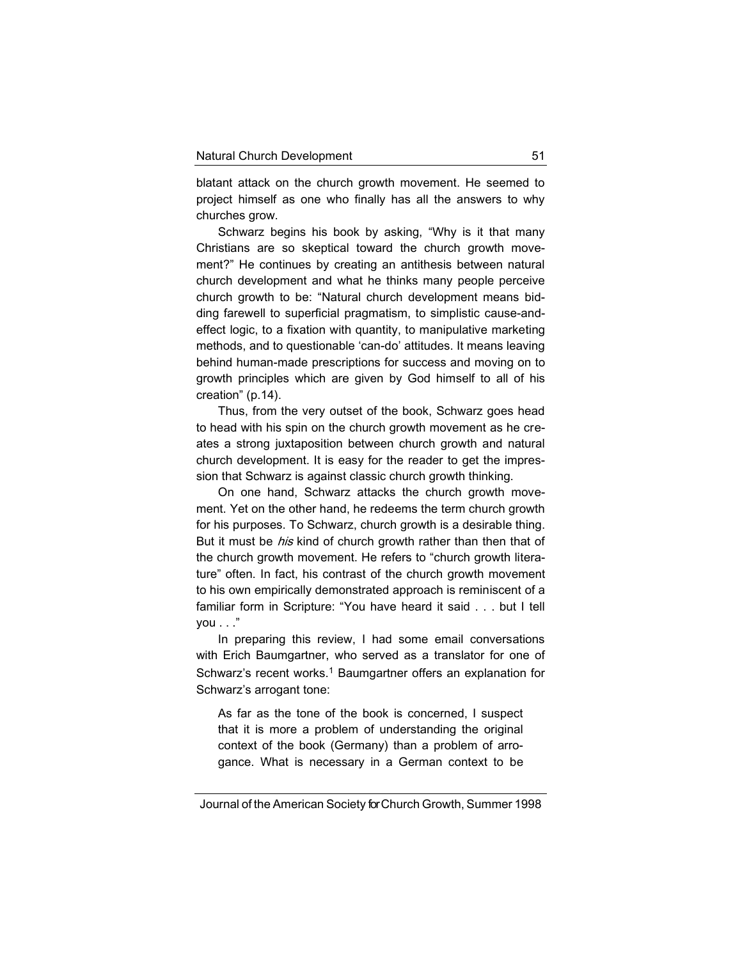blatant attack on the church growth movement. He seemed to project himself as one who finally has all the answers to why churches grow.

Schwarz begins his book by asking, "Why is it that many Christians are so skeptical toward the church growth movement?" He continues by creating an antithesis between natural church development and what he thinks many people perceive church growth to be: "Natural church development means bidding farewell to superficial pragmatism, to simplistic cause-andeffect logic, to a fixation with quantity, to manipulative marketing methods, and to questionable 'can-do' attitudes. It means leaving behind human-made prescriptions for success and moving on to growth principles which are given by God himself to all of his creation" (p.14).

Thus, from the very outset of the book, Schwarz goes head to head with his spin on the church growth movement as he creates a strong juxtaposition between church growth and natural church development. It is easy for the reader to get the impression that Schwarz is against classic church growth thinking.

On one hand, Schwarz attacks the church growth movement. Yet on the other hand, he redeems the term church growth for his purposes. To Schwarz, church growth is a desirable thing. But it must be *his* kind of church growth rather than then that of the church growth movement. He refers to "church growth literature" often. In fact, his contrast of the church growth movement to his own empirically demonstrated approach is reminiscent of a familiar form in Scripture: "You have heard it said . . . but I tell  $vou \dots$ "

In preparing this review, I had some email conversations with Erich Baumgartner, who served as a translator for one of Schwarz's recent works.<sup>1</sup> Baumgartner offers an explanation for Schwarz's arrogant tone:

As far as the tone of the book is concerned, I suspect that it is more a problem of understanding the original context of the book (Germany) than a problem of arrogance. What is necessary in a German context to be

Journal of the American Society for Church Growth, Summer 1998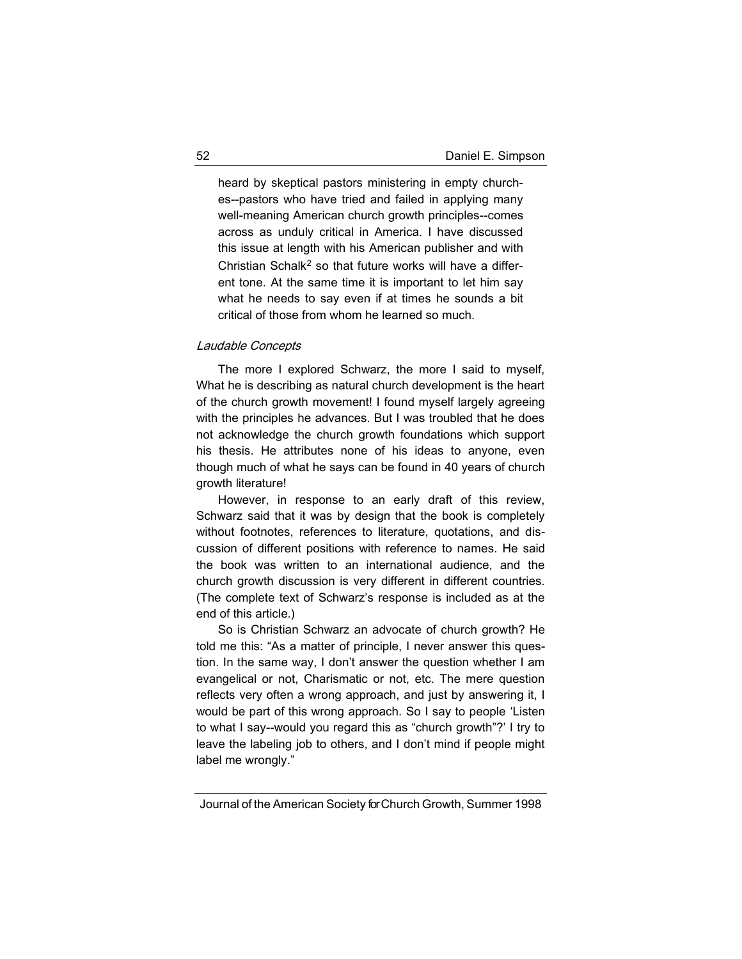heard by skeptical pastors ministering in empty churches--pastors who have tried and failed in applying many well-meaning American church growth principles--comes across as unduly critical in America. I have discussed this issue at length with his American publisher and with Christian Schalk<sup>2</sup> so that future works will have a different tone. At the same time it is important to let him say what he needs to say even if at times he sounds a bit critical of those from whom he learned so much.

## Laudable Concepts

The more I explored Schwarz, the more I said to myself, What he is describing as natural church development is the heart of the church growth movement! I found myself largely agreeing with the principles he advances. But I was troubled that he does not acknowledge the church growth foundations which support his thesis. He attributes none of his ideas to anyone, even though much of what he says can be found in 40 years of church growth literature!

However, in response to an early draft of this review, Schwarz said that it was by design that the book is completely without footnotes, references to literature, quotations, and discussion of different positions with reference to names. He said the book was written to an international audience, and the church growth discussion is very different in different countries. (The complete text of Schwarz's response is included as at the end of this article.)

So is Christian Schwarz an advocate of church growth? He told me this: "As a matter of principle, I never answer this question. In the same way, I don't answer the question whether I am evangelical or not, Charismatic or not, etc. The mere question reflects very often a wrong approach, and just by answering it, I would be part of this wrong approach. So I say to people 'Listen to what I say--would you regard this as "church growth"?' I try to leave the labeling job to others, and I don't mind if people might label me wrongly."

Journal of the American Society for Church Growth, Summer 1998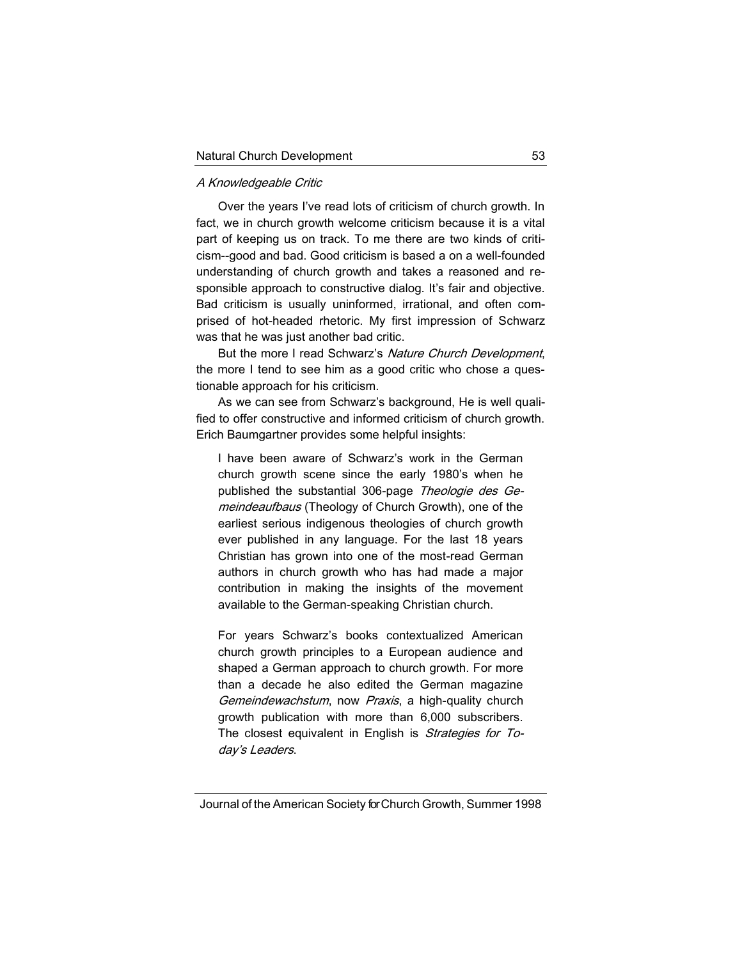#### A Knowledgeable Critic

Over the years I've read lots of criticism of church growth. In fact, we in church growth welcome criticism because it is a vital part of keeping us on track. To me there are two kinds of criticism--good and bad. Good criticism is based a on a well-founded understanding of church growth and takes a reasoned and responsible approach to constructive dialog. It's fair and objective. Bad criticism is usually uninformed, irrational, and often comprised of hot-headed rhetoric. My first impression of Schwarz was that he was just another bad critic.

But the more I read Schwarz's Nature Church Development, the more I tend to see him as a good critic who chose a questionable approach for his criticism.

As we can see from Schwarz's background, He is well qualified to offer constructive and informed criticism of church growth. Erich Baumgartner provides some helpful insights:

I have been aware of Schwarz's work in the German church growth scene since the early 1980's when he published the substantial 306-page Theologie des Gemeindeaufbaus (Theology of Church Growth), one of the earliest serious indigenous theologies of church growth ever published in any language. For the last 18 years Christian has grown into one of the most-read German authors in church growth who has had made a major contribution in making the insights of the movement available to the German-speaking Christian church.

For years Schwarz's books contextualized American church growth principles to a European audience and shaped a German approach to church growth. For more than a decade he also edited the German magazine Gemeindewachstum, now Praxis, a high-quality church growth publication with more than 6,000 subscribers. The closest equivalent in English is Strategies for Today's Leaders.

Journal of the American Society for Church Growth, Summer 1998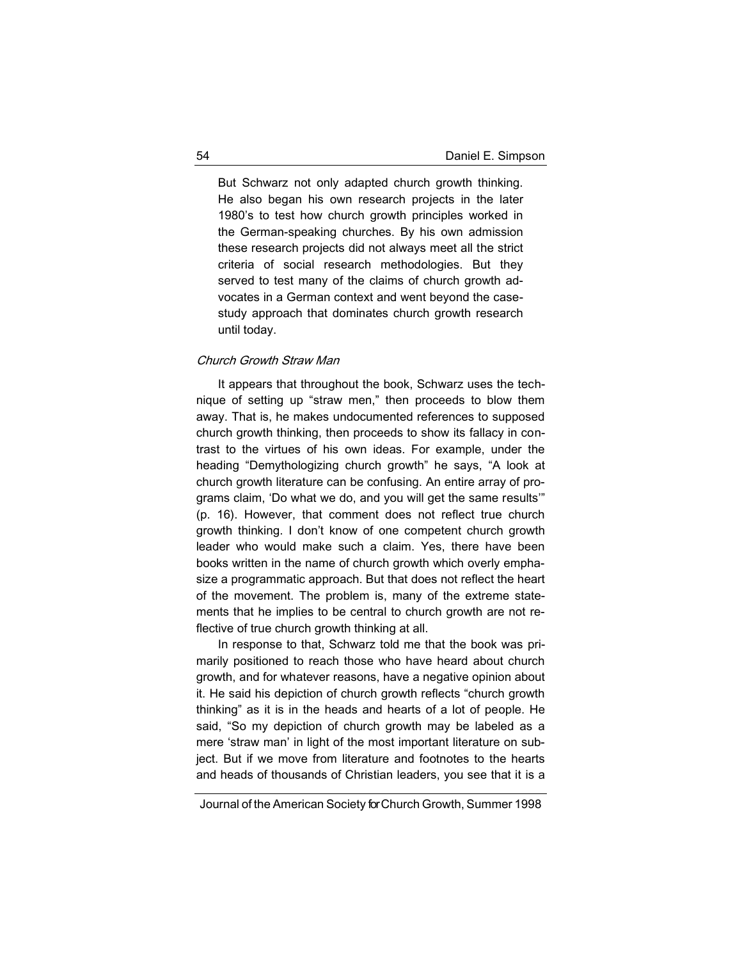But Schwarz not only adapted church growth thinking. He also began his own research projects in the later 1980's to test how church growth principles worked in the German-speaking churches. By his own admission these research projects did not always meet all the strict criteria of social research methodologies. But they served to test many of the claims of church growth advocates in a German context and went beyond the casestudy approach that dominates church growth research until today.

#### Church Growth Straw Man

It appears that throughout the book, Schwarz uses the technique of setting up "straw men," then proceeds to blow them away. That is, he makes undocumented references to supposed church growth thinking, then proceeds to show its fallacy in contrast to the virtues of his own ideas. For example, under the heading "Demythologizing church growth" he says, "A look at church growth literature can be confusing. An entire array of programs claim, 'Do what we do, and you will get the same results'" (p. 16). However, that comment does not reflect true church growth thinking. I don't know of one competent church growth leader who would make such a claim. Yes, there have been books written in the name of church growth which overly emphasize a programmatic approach. But that does not reflect the heart of the movement. The problem is, many of the extreme statements that he implies to be central to church growth are not reflective of true church growth thinking at all.

In response to that, Schwarz told me that the book was primarily positioned to reach those who have heard about church growth, and for whatever reasons, have a negative opinion about it. He said his depiction of church growth reflects "church growth thinking" as it is in the heads and hearts of a lot of people. He said, "So my depiction of church growth may be labeled as a mere 'straw man' in light of the most important literature on subject. But if we move from literature and footnotes to the hearts and heads of thousands of Christian leaders, you see that it is a

Journal of the American Society for Church Growth, Summer 1998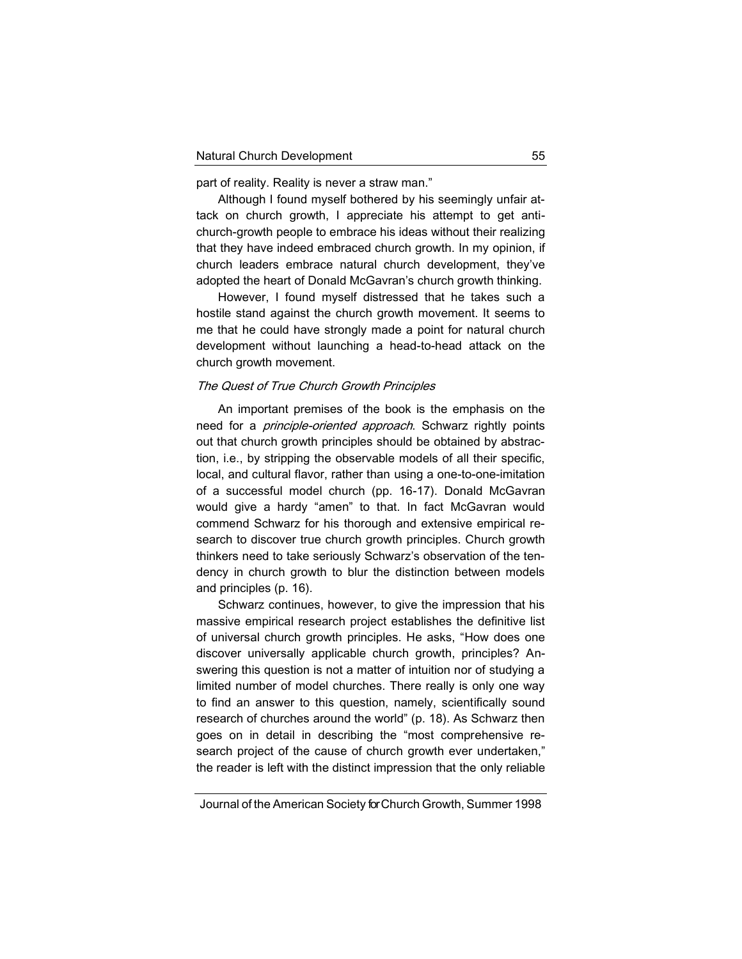part of reality. Reality is never a straw man."

Although I found myself bothered by his seemingly unfair attack on church growth, I appreciate his attempt to get antichurch-growth people to embrace his ideas without their realizing that they have indeed embraced church growth. In my opinion, if church leaders embrace natural church development, they've adopted the heart of Donald McGavran's church growth thinking.

However, I found myself distressed that he takes such a hostile stand against the church growth movement. It seems to me that he could have strongly made a point for natural church development without launching a head-to-head attack on the church growth movement.

#### The Quest of True Church Growth Principles

An important premises of the book is the emphasis on the need for a *principle-oriented approach*. Schwarz rightly points out that church growth principles should be obtained by abstraction, i.e., by stripping the observable models of all their specific, local, and cultural flavor, rather than using a one-to-one-imitation of a successful model church (pp. 16-17). Donald McGavran would give a hardy "amen" to that. In fact McGavran would commend Schwarz for his thorough and extensive empirical research to discover true church growth principles. Church growth thinkers need to take seriously Schwarz's observation of the tendency in church growth to blur the distinction between models and principles (p. 16).

Schwarz continues, however, to give the impression that his massive empirical research project establishes the definitive list of universal church growth principles. He asks, "How does one discover universally applicable church growth, principles? Answering this question is not a matter of intuition nor of studying a limited number of model churches. There really is only one way to find an answer to this question, namely, scientifically sound research of churches around the world" (p. 18). As Schwarz then goes on in detail in describing the "most comprehensive research project of the cause of church growth ever undertaken," the reader is left with the distinct impression that the only reliable

Journal of the American Society for Church Growth, Summer 1998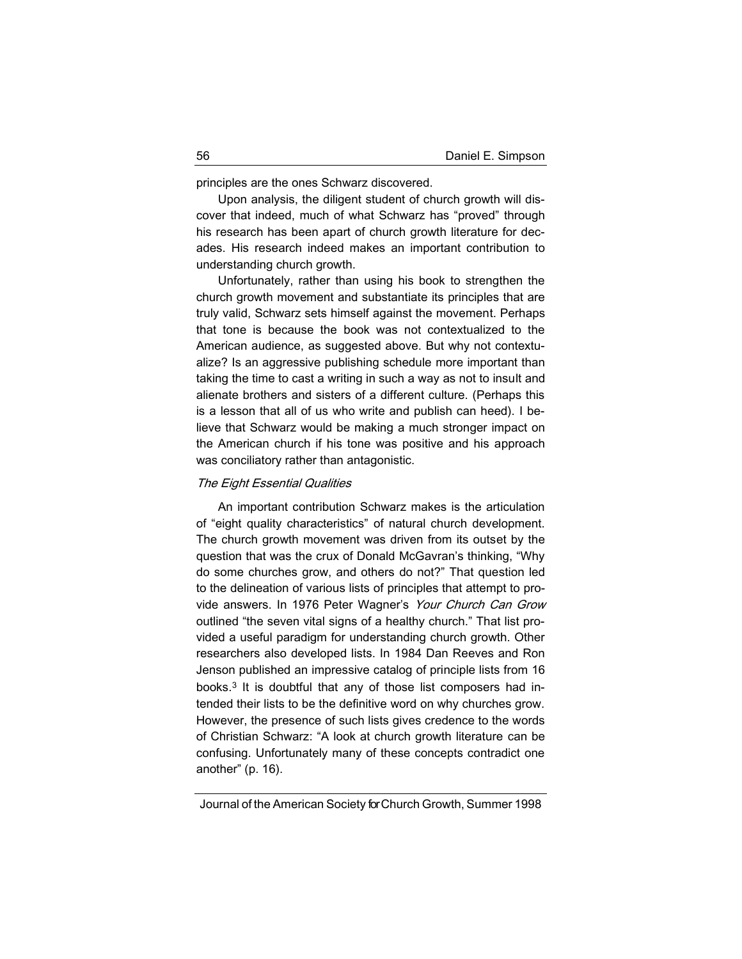principles are the ones Schwarz discovered.

Upon analysis, the diligent student of church growth will discover that indeed, much of what Schwarz has "proved" through his research has been apart of church growth literature for decades. His research indeed makes an important contribution to understanding church growth.

Unfortunately, rather than using his book to strengthen the church growth movement and substantiate its principles that are truly valid, Schwarz sets himself against the movement. Perhaps that tone is because the book was not contextualized to the American audience, as suggested above. But why not contextualize? Is an aggressive publishing schedule more important than taking the time to cast a writing in such a way as not to insult and alienate brothers and sisters of a different culture. (Perhaps this is a lesson that all of us who write and publish can heed). I believe that Schwarz would be making a much stronger impact on the American church if his tone was positive and his approach was conciliatory rather than antagonistic.

#### The Eight Essential Qualities

An important contribution Schwarz makes is the articulation of "eight quality characteristics" of natural church development. The church growth movement was driven from its outset by the question that was the crux of Donald McGavran's thinking, "Why do some churches grow, and others do not?" That question led to the delineation of various lists of principles that attempt to provide answers. In 1976 Peter Wagner's Your Church Can Grow outlined "the seven vital signs of a healthy church." That list provided a useful paradigm for understanding church growth. Other researchers also developed lists. In 1984 Dan Reeves and Ron Jenson published an impressive catalog of principle lists from 16 books.<sup>3</sup> It is doubtful that any of those list composers had intended their lists to be the definitive word on why churches grow. However, the presence of such lists gives credence to the words of Christian Schwarz: "A look at church growth literature can be confusing. Unfortunately many of these concepts contradict one another" (p. 16).

Journal of the American Society for Church Growth, Summer 1998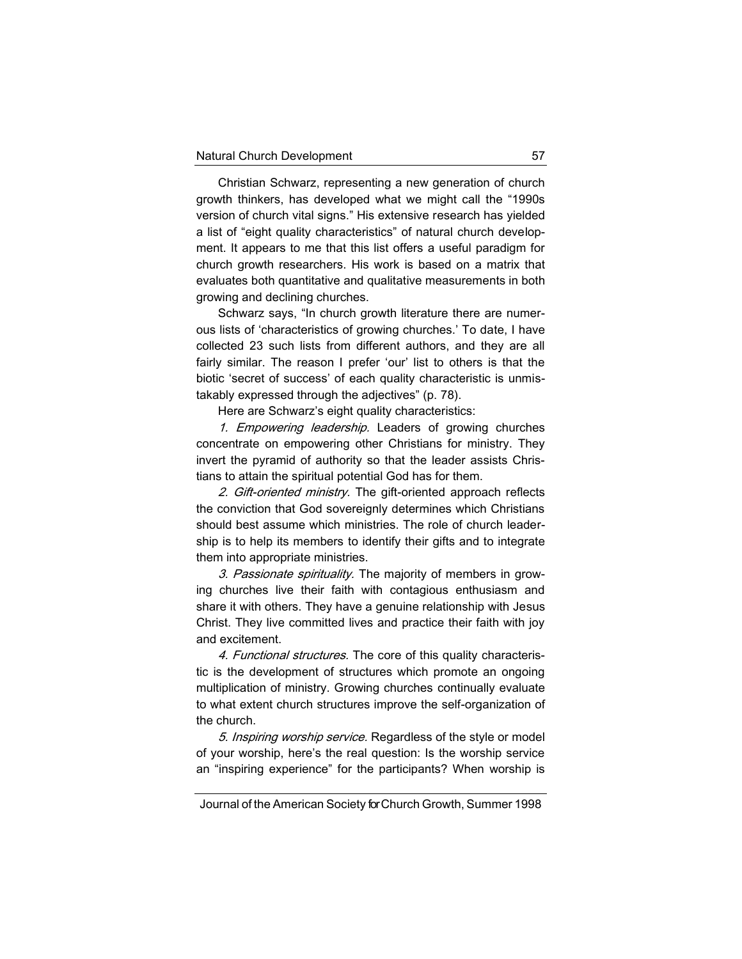Christian Schwarz, representing a new generation of church growth thinkers, has developed what we might call the "1990s version of church vital signs." His extensive research has yielded a list of "eight quality characteristics" of natural church development. It appears to me that this list offers a useful paradigm for church growth researchers. His work is based on a matrix that evaluates both quantitative and qualitative measurements in both growing and declining churches.

Schwarz says, "In church growth literature there are numerous lists of 'characteristics of growing churches.' To date, I have collected 23 such lists from different authors, and they are all fairly similar. The reason I prefer 'our' list to others is that the biotic 'secret of success' of each quality characteristic is unmistakably expressed through the adjectives" (p. 78).

Here are Schwarz's eight quality characteristics:

1. Empowering leadership. Leaders of growing churches concentrate on empowering other Christians for ministry. They invert the pyramid of authority so that the leader assists Christians to attain the spiritual potential God has for them.

2. Gift-oriented ministry. The gift-oriented approach reflects the conviction that God sovereignly determines which Christians should best assume which ministries. The role of church leadership is to help its members to identify their gifts and to integrate them into appropriate ministries.

3. Passionate spirituality. The majority of members in growing churches live their faith with contagious enthusiasm and share it with others. They have a genuine relationship with Jesus Christ. They live committed lives and practice their faith with joy and excitement.

4. Functional structures. The core of this quality characteristic is the development of structures which promote an ongoing multiplication of ministry. Growing churches continually evaluate to what extent church structures improve the self-organization of the church.

5. Inspiring worship service. Regardless of the style or model of your worship, here's the real question: Is the worship service an "inspiring experience" for the participants? When worship is

Journal of the American Society for Church Growth, Summer 1998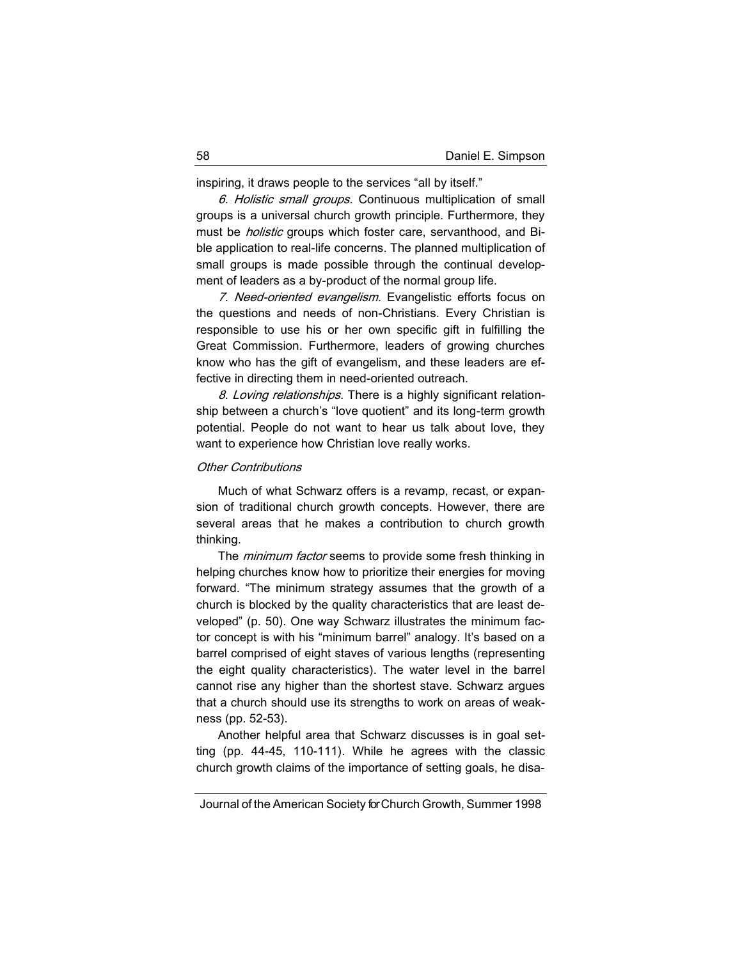inspiring, it draws people to the services "all by itself."

6. Holistic small groups. Continuous multiplication of small groups is a universal church growth principle. Furthermore, they must be *holistic* groups which foster care, servanthood, and Bible application to real-life concerns. The planned multiplication of small groups is made possible through the continual development of leaders as a by-product of the normal group life.

7. Need-oriented evangelism. Evangelistic efforts focus on the questions and needs of non-Christians. Every Christian is responsible to use his or her own specific gift in fulfilling the Great Commission. Furthermore, leaders of growing churches know who has the gift of evangelism, and these leaders are effective in directing them in need-oriented outreach.

8. Loving relationships. There is a highly significant relationship between a church's "love quotient" and its long-term growth potential. People do not want to hear us talk about love, they want to experience how Christian love really works.

## Other Contributions

Much of what Schwarz offers is a revamp, recast, or expansion of traditional church growth concepts. However, there are several areas that he makes a contribution to church growth thinking.

The *minimum factor* seems to provide some fresh thinking in helping churches know how to prioritize their energies for moving forward. "The minimum strategy assumes that the growth of a church is blocked by the quality characteristics that are least developed" (p. 50). One way Schwarz illustrates the minimum factor concept is with his "minimum barrel" analogy. It's based on a barrel comprised of eight staves of various lengths (representing the eight quality characteristics). The water level in the barrel cannot rise any higher than the shortest stave. Schwarz argues that a church should use its strengths to work on areas of weakness (pp. 52-53).

Another helpful area that Schwarz discusses is in goal setting (pp. 44-45, 110-111). While he agrees with the classic church growth claims of the importance of setting goals, he disa-

Journal of the American Society for Church Growth, Summer 1998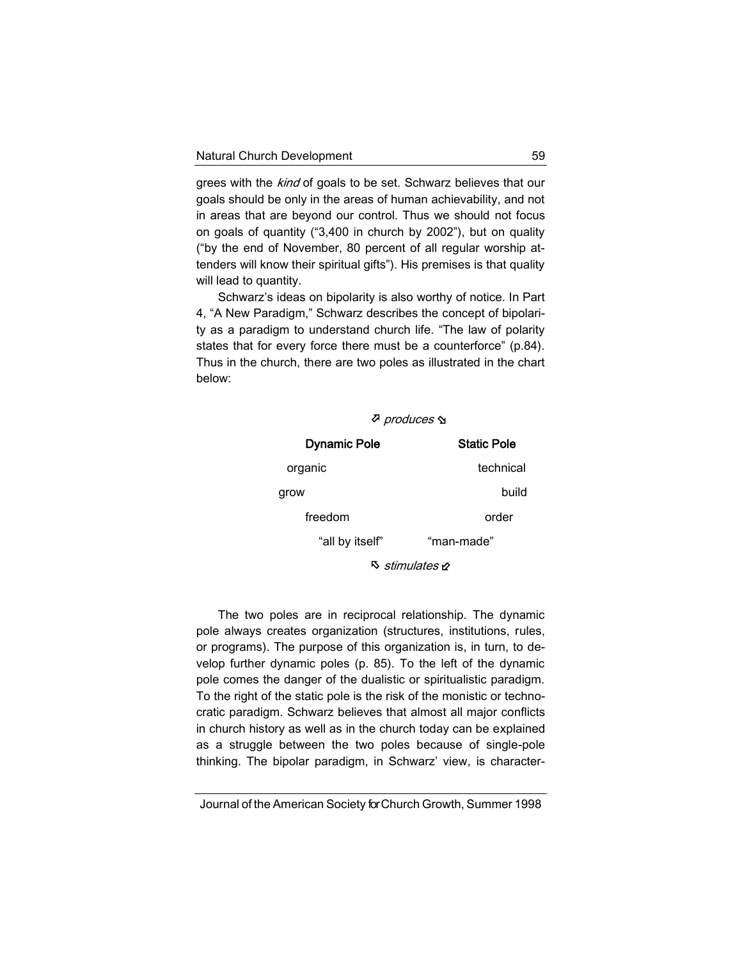grees with the kind of goals to be set. Schwarz believes that our goals should be only in the areas of human achievability, and not in areas that are beyond our control. Thus we should not focus on goals of quantity ("3,400 in church by 2002"), but on quality ("by the end of November, 80 percent of all regular worship attenders will know their spiritual gifts"). His premises is that quality will lead to quantity.

Schwarz's ideas on bipolarity is also worthy of notice. In Part 4, "A New Paradigm," Schwarz describes the concept of bipolarity as a paradigm to understand church life. "The law of polarity states that for every force there must be a counterforce" (p.84). Thus in the church, there are two poles as illustrated in the chart below:

| <i>⊽ produces</i> ∕ম    |                    |
|-------------------------|--------------------|
| <b>Dynamic Pole</b>     | <b>Static Pole</b> |
| organic                 | technical          |
| grow                    | build              |
| freedom                 | order              |
| "all by itself"         | "man-made"         |
| ষ্ট <i>stimulates</i> ৮ |                    |

The two poles are in reciprocal relationship. The dynamic pole always creates organization (structures, institutions, rules, or programs). The purpose of this organization is, in turn, to develop further dynamic poles (p. 85). To the left of the dynamic pole comes the danger of the dualistic or spiritualistic paradigm. To the right of the static pole is the risk of the monistic or technocratic paradigm. Schwarz believes that almost all major conflicts in church history as well as in the church today can be explained as a struggle between the two poles because of single-pole thinking. The bipolar paradigm, in Schwarz' view, is character-

Journal of the American Society for Church Growth, Summer 1998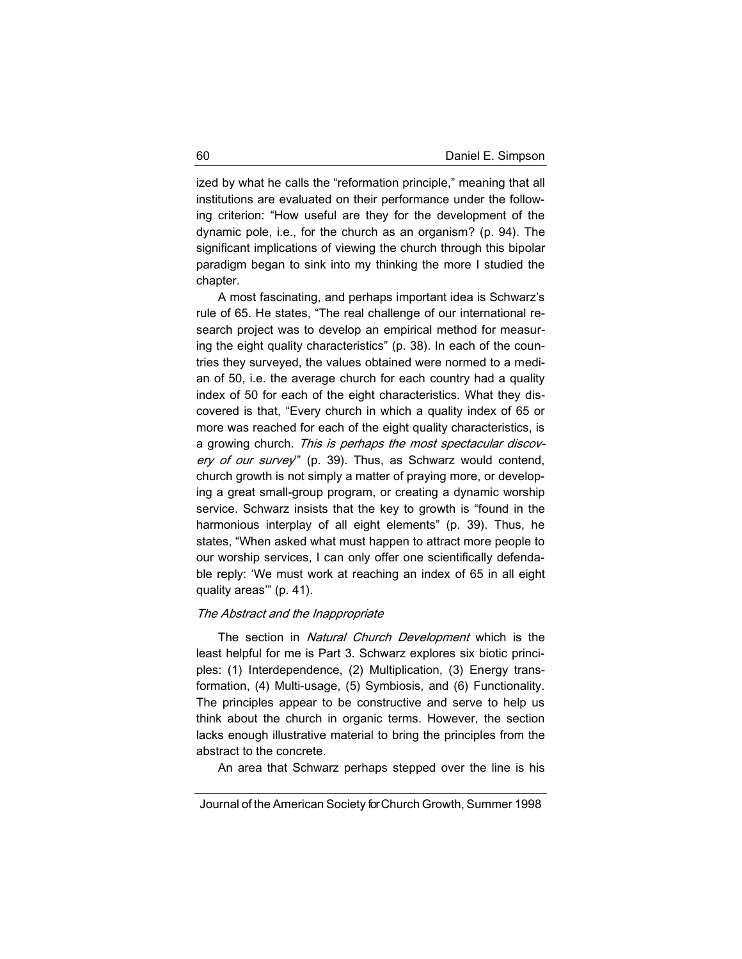ized by what he calls the "reformation principle," meaning that all institutions are evaluated on their performance under the following criterion: "How useful are they for the development of the dynamic pole, i.e., for the church as an organism? (p. 94). The significant implications of viewing the church through this bipolar paradigm began to sink into my thinking the more I studied the chapter.

A most fascinating, and perhaps important idea is Schwarz's rule of 65. He states, "The real challenge of our international research project was to develop an empirical method for measuring the eight quality characteristics" (p. 38). In each of the countries they surveyed, the values obtained were normed to a median of 50, i.e. the average church for each country had a quality index of 50 for each of the eight characteristics. What they discovered is that, "Every church in which a quality index of 65 or more was reached for each of the eight quality characteristics, is a growing church. This is perhaps the most spectacular discovery of our survey" (p. 39). Thus, as Schwarz would contend, church growth is not simply a matter of praying more, or developing a great small-group program, or creating a dynamic worship service. Schwarz insists that the key to growth is "found in the harmonious interplay of all eight elements" (p. 39). Thus, he states, "When asked what must happen to attract more people to our worship services, I can only offer one scientifically defendable reply: 'We must work at reaching an index of 65 in all eight quality areas'" (p. 41).

### The Abstract and the Inappropriate

The section in *Natural Church Development* which is the least helpful for me is Part 3. Schwarz explores six biotic principles: (1) Interdependence, (2) Multiplication, (3) Energy transformation, (4) Multi-usage, (5) Symbiosis, and (6) Functionality. The principles appear to be constructive and serve to help us think about the church in organic terms. However, the section lacks enough illustrative material to bring the principles from the abstract to the concrete.

An area that Schwarz perhaps stepped over the line is his

Journal of the American Society for Church Growth, Summer 1998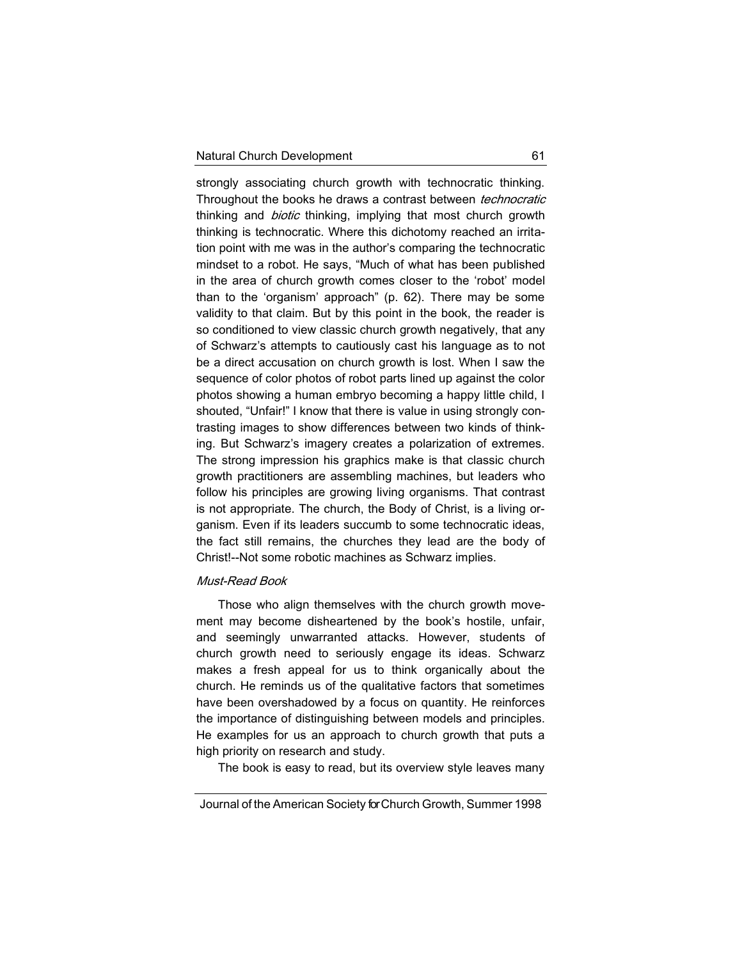strongly associating church growth with technocratic thinking. Throughout the books he draws a contrast between technocratic thinking and *biotic* thinking, implying that most church growth thinking is technocratic. Where this dichotomy reached an irritation point with me was in the author's comparing the technocratic mindset to a robot. He says, "Much of what has been published in the area of church growth comes closer to the 'robot' model than to the 'organism' approach" (p. 62). There may be some validity to that claim. But by this point in the book, the reader is so conditioned to view classic church growth negatively, that any of Schwarz's attempts to cautiously cast his language as to not be a direct accusation on church growth is lost. When I saw the sequence of color photos of robot parts lined up against the color photos showing a human embryo becoming a happy little child, I shouted, "Unfair!" I know that there is value in using strongly contrasting images to show differences between two kinds of thinking. But Schwarz's imagery creates a polarization of extremes. The strong impression his graphics make is that classic church growth practitioners are assembling machines, but leaders who follow his principles are growing living organisms. That contrast is not appropriate. The church, the Body of Christ, is a living organism. Even if its leaders succumb to some technocratic ideas, the fact still remains, the churches they lead are the body of Christ!--Not some robotic machines as Schwarz implies.

## Must-Read Book

Those who align themselves with the church growth movement may become disheartened by the book's hostile, unfair, and seemingly unwarranted attacks. However, students of church growth need to seriously engage its ideas. Schwarz makes a fresh appeal for us to think organically about the church. He reminds us of the qualitative factors that sometimes have been overshadowed by a focus on quantity. He reinforces the importance of distinguishing between models and principles. He examples for us an approach to church growth that puts a high priority on research and study.

The book is easy to read, but its overview style leaves many

Journal of the American Society for Church Growth, Summer 1998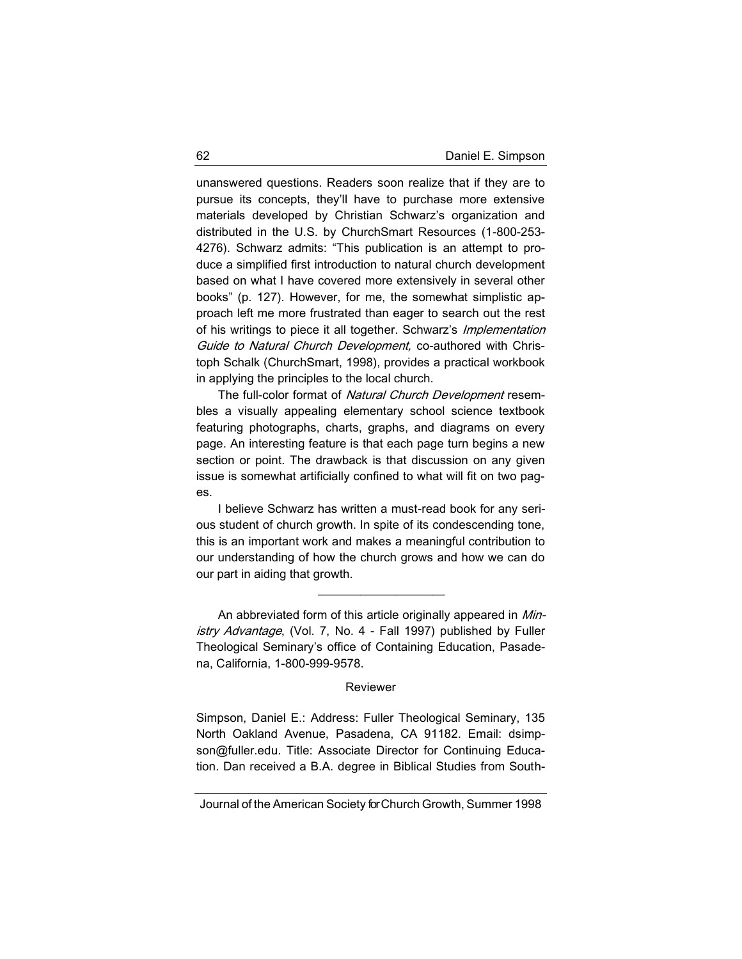unanswered questions. Readers soon realize that if they are to pursue its concepts, they'll have to purchase more extensive materials developed by Christian Schwarz's organization and distributed in the U.S. by ChurchSmart Resources (1-800-253- 4276). Schwarz admits: "This publication is an attempt to produce a simplified first introduction to natural church development based on what I have covered more extensively in several other books" (p. 127). However, for me, the somewhat simplistic approach left me more frustrated than eager to search out the rest of his writings to piece it all together. Schwarz's *Implementation* Guide to Natural Church Development, co-authored with Christoph Schalk (ChurchSmart, 1998), provides a practical workbook in applying the principles to the local church.

The full-color format of Natural Church Development resembles a visually appealing elementary school science textbook featuring photographs, charts, graphs, and diagrams on every page. An interesting feature is that each page turn begins a new section or point. The drawback is that discussion on any given issue is somewhat artificially confined to what will fit on two pages.

I believe Schwarz has written a must-read book for any serious student of church growth. In spite of its condescending tone, this is an important work and makes a meaningful contribution to our understanding of how the church grows and how we can do our part in aiding that growth.

\_\_\_\_\_\_\_\_\_\_\_\_\_\_\_\_\_\_\_\_\_

An abbreviated form of this article originally appeared in Ministry Advantage, (Vol. 7, No. 4 - Fall 1997) published by Fuller Theological Seminary's office of Containing Education, Pasadena, California, 1-800-999-9578.

#### Reviewer

Simpson, Daniel E.: Address: Fuller Theological Seminary, 135 North Oakland Avenue, Pasadena, CA 91182. Email: dsimpson@fuller.edu. Title: Associate Director for Continuing Education. Dan received a B.A. degree in Biblical Studies from South-

Journal of the American Society for Church Growth, Summer 1998